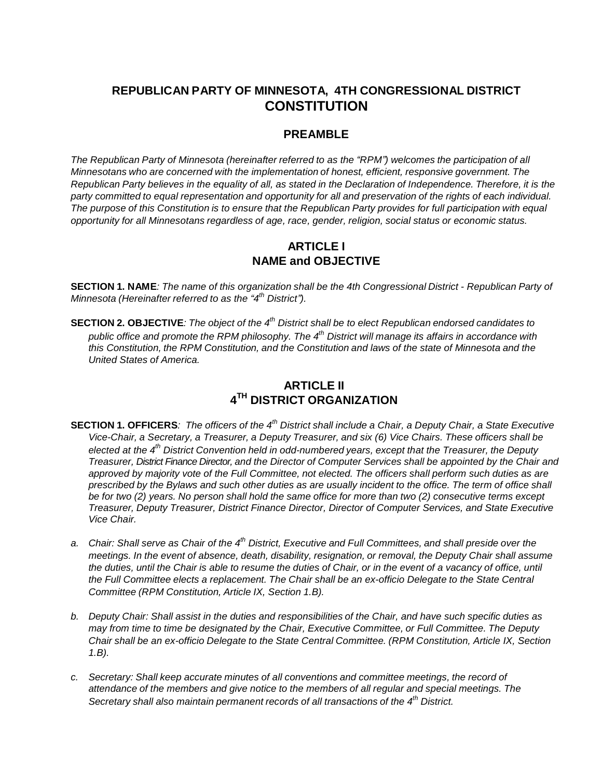# **REPUBLICAN PARTY OF MINNESOTA, 4TH CONGRESSIONAL DISTRICT CONSTITUTION**

#### **PREAMBLE**

*The Republican Party of Minnesota (hereinafter referred to as the "RPM") welcomes the participation of all Minnesotans who are concerned with the implementation of honest, efficient, responsive government. The*  Republican Party believes in the equality of all, as stated in the Declaration of Independence. Therefore, it is the *party committed to equal representation and opportunity for all and preservation of the rights of each individual.*  The purpose of this Constitution is to ensure that the Republican Party provides for full participation with equal *opportunity for all Minnesotans regardless of age, race, gender, religion, social status or economic status.*

#### **ARTICLE I NAME and OBJECTIVE**

SECTION 1. NAME: The name of this organization shall be the 4th Congressional District - Republican Party of *Minnesota (Hereinafter referred to as the "4 th District").*

**SECTION 2. OBJECTIVE**: The object of the  $4<sup>th</sup>$  District shall be to elect Republican endorsed candidates to public office and promote the RPM philosophy. The  $4^{\text{th}}$  District will manage its affairs in accordance with *this Constitution, the RPM Constitution, and the Constitution and laws of the state of Minnesota and the United States of America.*

## **ARTICLE II 4 TH DISTRICT ORGANIZATION**

- **SECTION 1. OFFICERS**: The officers of the 4<sup>th</sup> District shall include a Chair, a Deputy Chair, a State Executive Vice-Chair, a Secretary, a Treasurer, a Deputy Treasurer, and six (6) Vice Chairs. These officers shall be *elected at the 4 th District Convention held in odd-numbered years, except that the Treasurer, the Deputy Treasurer, District Finance Director, and the Director of Computer Services shall be appointed by the Chair and approved by majority vote of the Full Committee, not elected. The officers shall perform such duties as are prescribed by the Bylaws and such other duties as are usually incident to the office. The term of office shall* be for two (2) years. No person shall hold the same office for more than two (2) consecutive terms except *Treasurer, Deputy Treasurer, District Finance Director, Director of Computer Services, and State Executive Vice Chair.*
- a. Chair: Shall serve as Chair of the 4<sup>th</sup> District, Executive and Full Committees, and shall preside over the *meetings. In the event of absence, death, disability, resignation, or removal, the Deputy Chair shall assume* the duties, until the Chair is able to resume the duties of Chair, or in the event of a vacancy of office, until *the Full Committee elects a replacement. The Chair shall be an ex-officio Delegate to the State Central Committee (RPM Constitution, Article IX, Section 1.B).*
- b. Deputy Chair: Shall assist in the duties and responsibilities of the Chair, and have such specific duties as *may from time to time be designated by the Chair, Executive Committee, or Full Committee. The Deputy Chair shall be an ex-officio Delegate to the State Central Committee. (RPM Constitution, Article IX, Section 1.B).*
- *c. Secretary: Shall keep accurate minutes of all conventions and committee meetings, the record of attendance of the members and give notice to the members of all regular and special meetings. The Secretary shall also maintain permanent records of all transactions of the 4 th District.*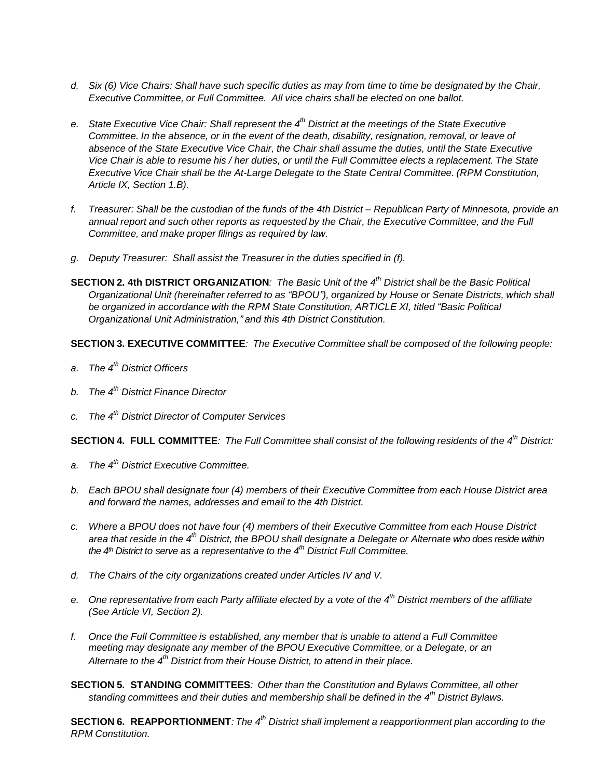- d. Six (6) Vice Chairs: Shall have such specific duties as may from time to time be designated by the Chair, *Executive Committee, or Full Committee. All vice chairs shall be elected on one ballot.*
- e. State Executive Vice Chair: Shall represent the 4<sup>th</sup> District at the meetings of the State Executive *Committee. In the absence, or in the event of the death, disability, resignation, removal, or leave of absence of the State Executive Vice Chair, the Chair shall assume the duties, until the State Executive* Vice Chair is able to resume his / her duties, or until the Full Committee elects a replacement. The State *Executive Vice Chair shall be the At-Large Delegate to the State Central Committee. (RPM Constitution, Article IX, Section 1.B).*
- f. Treasurer: Shall be the custodian of the funds of the 4th District Republican Party of Minnesota, provide an *annual report and such other reports as requested by the Chair, the Executive Committee, and the Full Committee, and make proper filings as required by law.*
- *g. Deputy Treasurer: Shall assist the Treasurer in the duties specified in (f).*
- **SECTION 2. 4th DISTRICT ORGANIZATION**: The Basic Unit of the  $4<sup>th</sup>$  District shall be the Basic Political *Organizational Unit (hereinafter referred to as "BPOU"), organized by House or Senate Districts, which shall be organized in accordance with the RPM State Constitution, ARTICLE XI, titled "Basic Political Organizational Unit Administration," and this 4th District Constitution.*

**SECTION 3. EXECUTIVE COMMITTEE***: The Executive Committee shall be composed of the following people:*

- *a. The 4 th District Officers*
- *b. The 4 th District Finance Director*
- *c. The 4 th District Director of Computer Services*

SECTION 4. FULL COMMITTEE: The Full Committee shall consist of the following residents of the 4<sup>th</sup> District:

- *a. The 4 th District Executive Committee.*
- *b. Each BPOU shall designate four (4) members of their Executive Committee from each House District area and forward the names, addresses and email to the 4th District.*
- *c. Where a BPOU does not have four (4) members of their Executive Committee from each House District* area that reside in the 4<sup>th</sup> District, the BPOU shall designate a Delegate or Alternate who does reside within *the 4th District to serve as a representative to the 4 th District Full Committee.*
- *d. The Chairs of the city organizations created under Articles IV and V.*
- e. One representative from each Party affiliate elected by a vote of the 4<sup>th</sup> District members of the affiliate *(See Article VI, Section 2).*
- *f. Once the Full Committee is established, any member that is unable to attend a Full Committee meeting may designate any member of the BPOU Executive Committee, or a Delegate, or an Alternate to the 4 th District from their House District, to attend in their place.*
- **SECTION 5. STANDING COMMITTEES***: Other than the Constitution and Bylaws Committee, all other standing committees and their duties and membership shall be defined in the 4 th District Bylaws.*

**SECTION 6. REAPPORTIONMENT***: The 4 th District shall implement a reapportionment plan according to the RPM Constitution.*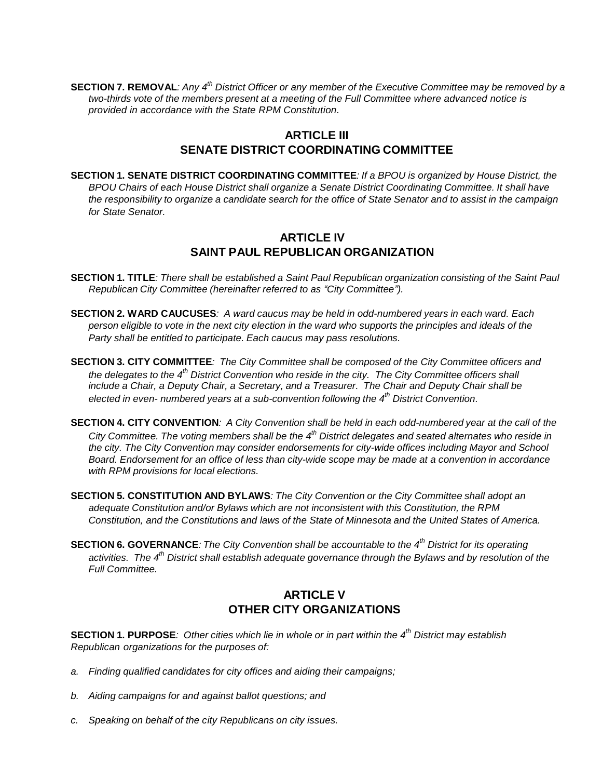SECTION 7. REMOVAL: Any 4<sup>th</sup> District Officer or any member of the Executive Committee may be removed by a *two-thirds vote of the members present at a meeting of the Full Committee where advanced notice is provided in accordance with the State RPM Constitution.*

#### **ARTICLE III SENATE DISTRICT COORDINATING COMMITTEE**

**SECTION 1. SENATE DISTRICT COORDINATING COMMITTEE***: If a BPOU is organized by House District, the BPOU Chairs of each House District shall organize a Senate District Coordinating Committee. It shall have the responsibility to organize a candidate search for the office of State Senator and to assist in the campaign for State Senator.*

#### **ARTICLE IV SAINT PAUL REPUBLICAN ORGANIZATION**

- **SECTION 1. TITLE:** There shall be established a Saint Paul Republican organization consisting of the Saint Paul *Republican City Committee (hereinafter referred to as "City Committee").*
- **SECTION 2. WARD CAUCUSES***: A ward caucus may be held in odd-numbered years in each ward. Each*  person eligible to vote in the next city election in the ward who supports the principles and ideals of the *Party shall be entitled to participate. Each caucus may pass resolutions.*
- **SECTION 3. CITY COMMITTEE***: The City Committee shall be composed of the City Committee officers and* the delegates to the 4<sup>th</sup> District Convention who reside in the city. The City Committee officers shall *include a Chair, a Deputy Chair, a Secretary, and a Treasurer. The Chair and Deputy Chair shall be elected in even- numbered years at a sub-convention following the 4 th District Convention.*
- **SECTION 4. CITY CONVENTION:** A City Convention shall be held in each odd-numbered year at the call of the City Committee. The voting members shall be the 4<sup>th</sup> District delegates and seated alternates who reside in *the city. The City Convention may consider endorsements for city-wide offices including Mayor and School Board. Endorsement for an office of less than city-wide scope may be made at a convention in accordance with RPM provisions for local elections.*
- **SECTION 5. CONSTITUTION AND BYLAWS***: The City Convention or the City Committee shall adopt an adequate Constitution and/or Bylaws which are not inconsistent with this Constitution, the RPM Constitution, and the Constitutions and laws of the State of Minnesota and the United States of America.*
- **SECTION 6. GOVERNANCE**: The City Convention shall be accountable to the  $4<sup>th</sup>$  District for its operating *activities. The 4 th District shall establish adequate governance through the Bylaws and by resolution of the Full Committee.*

#### **ARTICLE V OTHER CITY ORGANIZATIONS**

**SECTION 1. PURPOSE***: Other cities which lie in whole or in part within the 4 th District may establish Republican organizations for the purposes of:*

- *a. Finding qualified candidates for city offices and aiding their campaigns;*
- *b. Aiding campaigns for and against ballot questions; and*
- *c. Speaking on behalf of the city Republicans on city issues.*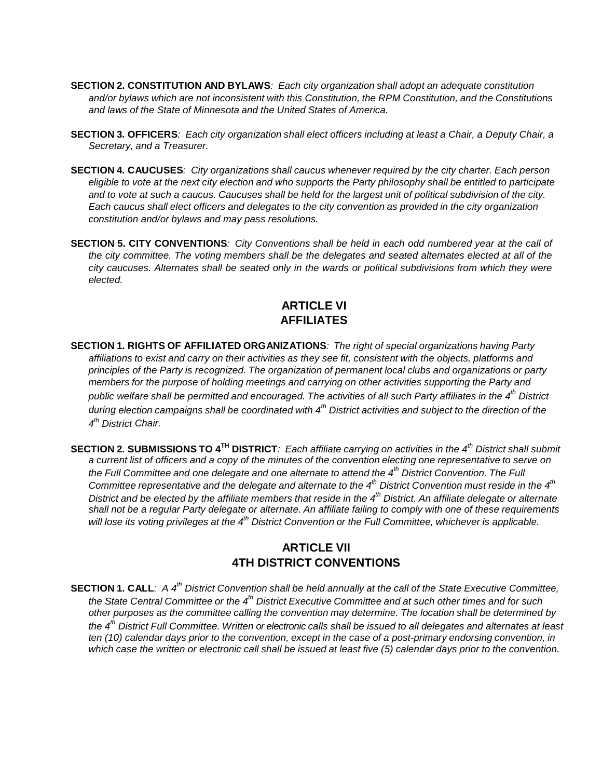- **SECTION 2. CONSTITUTION AND BYLAWS***: Each city organization shall adopt an adequate constitution and/or bylaws which are not inconsistent with this Constitution, the RPM Constitution, and the Constitutions and laws of the State of Minnesota and the United States of America.*
- SECTION 3. OFFICERS: Each city organization shall elect officers including at least a Chair, a Deputy Chair, a *Secretary, and a Treasurer.*
- **SECTION 4. CAUCUSES***: City organizations shall caucus whenever required by the city charter. Each person*  eligible to vote at the next city election and who supports the Party philosophy shall be entitled to participate and to vote at such a caucus. Caucuses shall be held for the largest unit of political subdivision of the city. *Each caucus shall elect officers and delegates to the city convention as provided in the city organization constitution and/or bylaws and may pass resolutions.*
- **SECTION 5. CITY CONVENTIONS***: City Conventions shall be held in each odd numbered year at the call of the city committee. The voting members shall be the delegates and seated alternates elected at all of the city caucuses. Alternates shall be seated only in the wards or political subdivisions from which they were elected.*

### **ARTICLE VI AFFILIATES**

- **SECTION 1. RIGHTS OF AFFILIATED ORGANIZATIONS***: The right of special organizations having Party*  affiliations to exist and carry on their activities as they see fit, consistent with the objects, platforms and *principles of the Party is recognized. The organization of permanent local clubs and organizations or party members for the purpose of holding meetings and carrying on other activities supporting the Party and* public welfare shall be permitted and encouraged. The activities of all such Party affiliates in the 4<sup>th</sup> District during election campaigns shall be coordinated with 4<sup>th</sup> District activities and subject to the direction of the *4 th District Chair.*
- SECTION 2. SUBMISSIONS TO 4<sup>TH</sup> DISTRICT: Each affiliate carrying on activities in the 4<sup>th</sup> District shall submit *a current list of officers and a copy of the minutes of the convention electing one representative to serve on* the Full Committee and one delegate and one alternate to attend the 4<sup>th</sup> District Convention. The Full Committee representative and the delegate and alternate to the  $4<sup>th</sup>$  District Convention must reside in the  $4<sup>th</sup>$ District and be elected by the affiliate members that reside in the 4<sup>th</sup> District. An affiliate delegate or alternate shall not be a regular Party delegate or alternate. An affiliate failing to comply with one of these requirements will lose its voting privileges at the 4<sup>th</sup> District Convention or the Full Committee, whichever is applicable.

#### **ARTICLE VII 4TH DISTRICT CONVENTIONS**

**SECTION 1. CALL:** A  $4^{\text{th}}$  District Convention shall be held annually at the call of the State Executive Committee, the State Central Committee or the 4<sup>th</sup> District Executive Committee and at such other times and for such *other purposes as the committee calling the convention may determine. The location shall be determined by* the 4<sup>th</sup> District Full Committee. Written or electronic calls shall be issued to all delegates and alternates at least *ten (10) calendar days prior to the convention, except in the case of a post-primary endorsing convention, in* which case the written or electronic call shall be issued at least five (5) calendar days prior to the convention.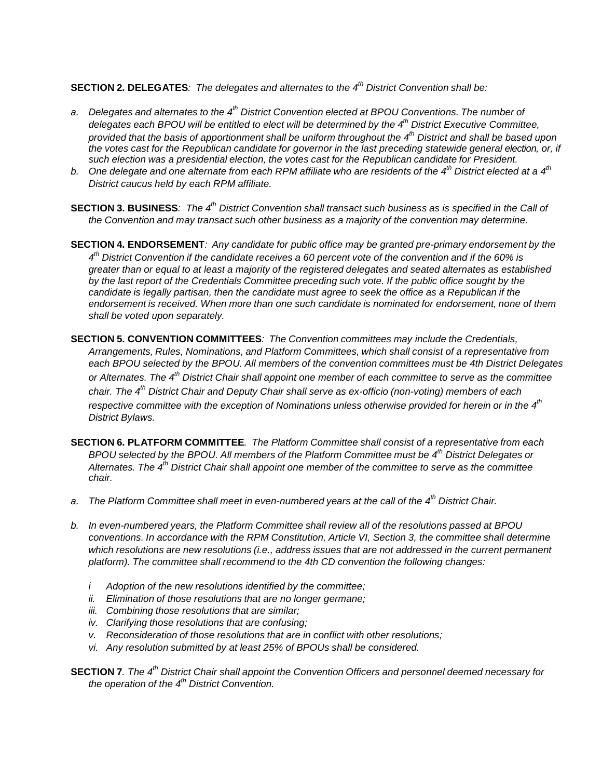**SECTION 2. DELEGATES***: The delegates and alternates to the 4 th District Convention shall be:*

- *a. Delegates and alternates to the 4 th District Convention elected at BPOU Conventions. The number of delegates each BPOU will be entitled to elect will be determined by the 4 th District Executive Committee, provided that the basis of apportionment shall be uniform throughout the 4 th District and shall be based upon* the votes cast for the Republican candidate for governor in the last preceding statewide general election, or, if *such election was a presidential election, the votes cast for the Republican candidate for President.*
- b. One delegate and one alternate from each RPM affiliate who are residents of the 4<sup>th</sup> District elected at a 4<sup>th</sup> *District caucus held by each RPM affiliate.*
- SECTION 3. BUSINESS: The 4<sup>th</sup> District Convention shall transact such business as is specified in the Call of *the Convention and may transact such other business as a majority of the convention may determine.*
- **SECTION 4. ENDORSEMENT***: Any candidate for public office may be granted pre-primary endorsement by the*  $4<sup>th</sup>$  District Convention if the candidate receives a 60 percent vote of the convention and if the 60% is *greater than or equal to at least a majority of the registered delegates and seated alternates as established by the last report of the Credentials Committee preceding such vote. If the public office sought by the* candidate is legally partisan, then the candidate must agree to seek the office as a Republican if the *endorsement is received. When more than one such candidate is nominated for endorsement, none of them shall be voted upon separately.*
- **SECTION 5. CONVENTION COMMITTEES***: The Convention committees may include the Credentials, Arrangements, Rules, Nominations, and Platform Committees, which shall consist of a representative from each BPOU selected by the BPOU. All members of the convention committees must be 4th District Delegates* or Alternates. The 4<sup>th</sup> District Chair shall appoint one member of each committee to serve as the committee *chair. The 4 th District Chair and Deputy Chair shall serve as ex-officio (non-voting) members of each respective committee with the exception of Nominations unless otherwise provided for herein or in the 4 th District Bylaws.*
- **SECTION 6. PLATFORM COMMITTEE***. The Platform Committee shall consist of a representative from each BPOU selected by the BPOU. All members of the Platform Committee must be 4th District Delegates or*  Alternates. The 4<sup>th</sup> District Chair shall appoint one member of the committee to serve as the committee *chair.*
- *a. The Platform Committee shall meet in even-numbered years at the call of the 4 th District Chair.*
- *b. In even-numbered years, the Platform Committee shall review all of the resolutions passed at BPOU conventions. In accordance with the RPM Constitution, Article VI, Section 3, the committee shall determine which resolutions are new resolutions (i.e., address issues that are not addressed in the current permanent platform). The committee shall recommend to the 4th CD convention the following changes:*
	- *i Adoption of the new resolutions identified by the committee;*
	- *ii. Elimination of those resolutions that are no longer germane;*
	- *iii. Combining those resolutions that are similar;*
	- *iv. Clarifying those resolutions that are confusing;*
	- *v. Reconsideration of those resolutions that are in conflict with other resolutions;*
	- *vi. Any resolution submitted by at least 25% of BPOUs shall be considered.*
- **SECTION 7**. The  $4<sup>th</sup>$  District Chair shall appoint the Convention Officers and personnel deemed necessary for *the operation of the 4 th District Convention.*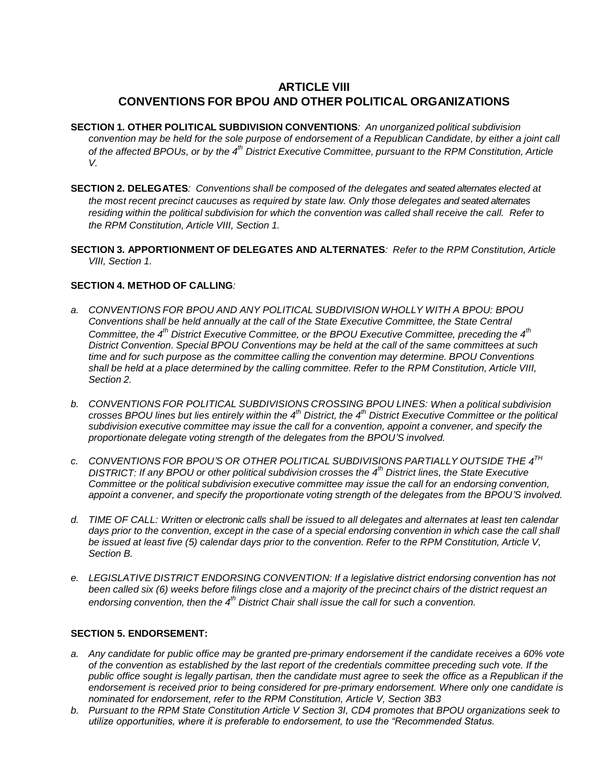## **ARTICLE VIII CONVENTIONS FOR BPOU AND OTHER POLITICAL ORGANIZATIONS**

- **SECTION 1. OTHER POLITICAL SUBDIVISION CONVENTIONS***: An unorganized political subdivision*  convention may be held for the sole purpose of endorsement of a Republican Candidate, by either a joint call of the affected BPOUs, or by the 4<sup>th</sup> District Executive Committee, pursuant to the RPM Constitution, Article *V.*
- **SECTION 2. DELEGATES***: Conventions shall be composed of the delegates and seated alternates elected at the most recent precinct caucuses as required by state law. Only those delegates and seated alternates residing within the political subdivision for which the convention was called shall receive the call. Refer to the RPM Constitution, Article VIII, Section 1.*
- **SECTION 3. APPORTIONMENT OF DELEGATES AND ALTERNATES***: Refer to the RPM Constitution, Article VIII, Section 1.*

#### **SECTION 4. METHOD OF CALLING***:*

- *a. CONVENTIONS FOR BPOU AND ANY POLITICAL SUBDIVISION WHOLLY WITH A BPOU: BPOU Conventions shall be held annually at the call of the State Executive Committee, the State Central Committee, the 4 th District Executive Committee, or the BPOU Executive Committee, preceding the 4 th District Convention. Special BPOU Conventions may be held at the call of the same committees at such time and for such purpose as the committee calling the convention may determine. BPOU Conventions* shall be held at a place determined by the calling committee. Refer to the RPM Constitution, Article VIII, *Section 2.*
- *b. CONVENTIONS FOR POLITICAL SUBDIVISIONS CROSSING BPOU LINES: When a political subdivision* crosses BPOU lines but lies entirely within the 4<sup>th</sup> District, the 4<sup>th</sup> District Executive Committee or the political *subdivision executive committee may issue the call for a convention, appoint a convener, and specify the proportionate delegate voting strength of the delegates from the BPOU'S involved.*
- *c. CONVENTIONS FOR BPOU'S OR OTHER POLITICAL SUBDIVISIONS PARTIALLY OUTSIDE THE 4 TH DISTRICT: If any BPOU or other political subdivision crosses the 4 th District lines, the State Executive Committee or the political subdivision executive committee may issue the call for an endorsing convention, appoint a convener, and specify the proportionate voting strength of the delegates from the BPOU'S involved.*
- d. TIME OF CALL: Written or electronic calls shall be issued to all delegates and alternates at least ten calendar days prior to the convention, except in the case of a special endorsing convention in which case the call shall be issued at least five (5) calendar days prior to the convention. Refer to the RPM Constitution, Article V, *Section B.*
- *e. LEGISLATIVE DISTRICT ENDORSING CONVENTION: If a legislative district endorsing convention has not* been called six (6) weeks before filings close and a majority of the precinct chairs of the district request an *endorsing convention, then the 4 th District Chair shall issue the call for such a convention.*

#### **SECTION 5. ENDORSEMENT:**

- *a. Any candidate for public office may be granted pre-primary endorsement if the candidate receives a 60% vote of the convention as established by the last report of the credentials committee preceding such vote. If the public office sought is legally partisan, then the candidate must agree to seek the office as a Republican if the endorsement is received prior to being considered for pre-primary endorsement. Where only one candidate is nominated for endorsement, refer to the RPM Constitution, Article V, Section 3B3*
- *b. Pursuant to the RPM State Constitution Article V Section 3I, CD4 promotes that BPOU organizations seek to utilize opportunities, where it is preferable to endorsement, to use the "Recommended Status.*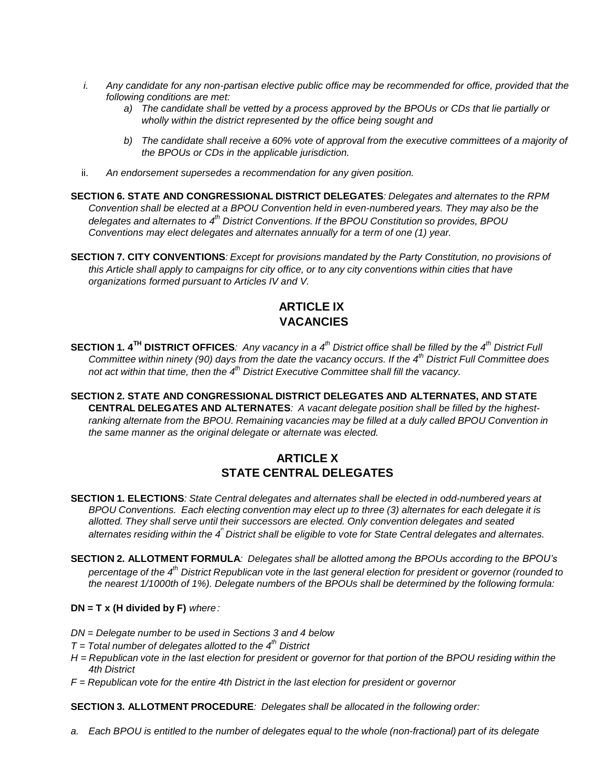- *i. Any candidate for any non-partisan elective public office may be recommended for office, provided that the following conditions are met:* 
	- *a) The candidate shall be vetted by a process approved by the BPOUs or CDs that lie partially or wholly within the district represented by the office being sought and*
	- *b) The candidate shall receive a 60% vote of approval from the executive committees of a majority of the BPOUs or CDs in the applicable jurisdiction.*
- ii. *An endorsement supersedes a recommendation for any given position.*
- **SECTION 6. STATE AND CONGRESSIONAL DISTRICT DELEGATES***: Delegates and alternates to the RPM Convention shall be elected at a BPOU Convention held in even-numbered years. They may also be the delegates and alternates to 4th District Conventions. If the BPOU Constitution so provides, BPOU Conventions may elect delegates and alternates annually for a term of one (1) year.*
- **SECTION 7. CITY CONVENTIONS***: Except for provisions mandated by the Party Constitution, no provisions of*  this Article shall apply to campaigns for city office, or to any city conventions within cities that have *organizations formed pursuant to Articles IV and V.*

## **ARTICLE IX VACANCIES**

- **SECTION 1.4<sup>TH</sup> DISTRICT OFFICES**: Any vacancy in a 4<sup>th</sup> District office shall be filled by the 4<sup>th</sup> District Full Committee within ninety (90) days from the date the vacancy occurs. If the 4<sup>th</sup> District Full Committee does *not act within that time, then the 4 th District Executive Committee shall fill the vacancy.*
- **SECTION 2. STATE AND CONGRESSIONAL DISTRICT DELEGATES AND ALTERNATES, AND STATE CENTRAL DELEGATES AND ALTERNATES***: A vacant delegate position shall be filled by the highestranking alternate from the BPOU. Remaining vacancies may be filled at a duly called BPOU Convention in the same manner as the original delegate or alternate was elected.*

# **ARTICLE X STATE CENTRAL DELEGATES**

- **SECTION 1. ELECTIONS***: State Central delegates and alternates shall be elected in odd-numbered years at BPOU Conventions. Each electing convention may elect up to three (3) alternates for each delegate it is allotted. They shall serve until their successors are elected. Only convention delegates and seated*  alternates residing within the 4<sup>th</sup> District shall be eligible to vote for State Central delegates and alternates.
- **SECTION 2. ALLOTMENT FORMULA***: Delegates shall be allotted among the BPOUs according to the BPOU's* percentage of the 4<sup>th</sup> District Republican vote in the last general election for president or governor (rounded to *the nearest 1/1000th of 1%). Delegate numbers of the BPOUs shall be determined by the following formula:*

#### **DN = T x (H divided by F)** *where :*

- *DN = Delegate number to be used in Sections 3 and 4 below*
- *T = Total number of delegates allotted to the 4 th District*
- H = Republican vote in the last election for president or governor for that portion of the BPOU residing within the *4th District*
- *F = Republican vote for the entire 4th District in the last election for president or governor*

**SECTION 3. ALLOTMENT PROCEDURE***: Delegates shall be allocated in the following order:*

a. Each BPOU is entitled to the number of delegates equal to the whole (non-fractional) part of its delegate